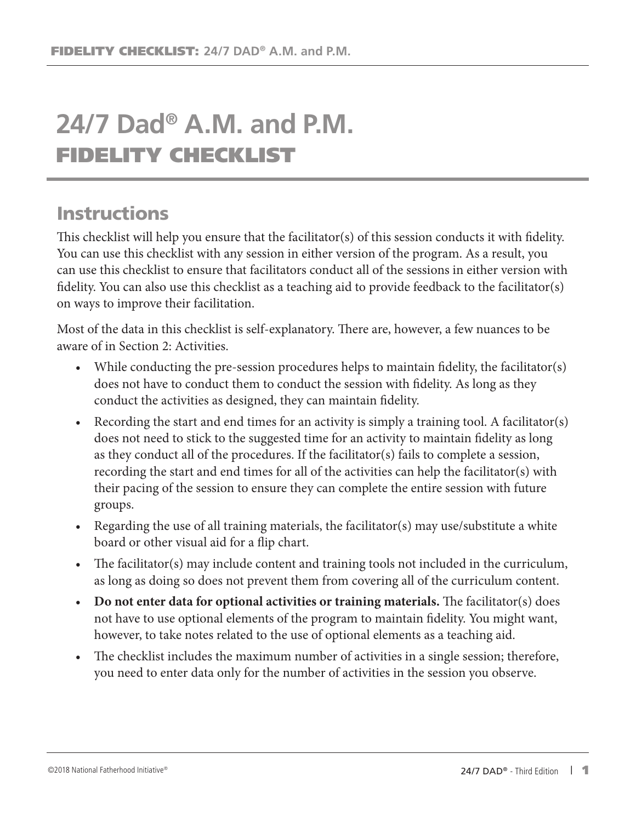## **24/7 Dad® A.M. and P.M.** FIDELITY CHECKLIST

## **Instructions**

This checklist will help you ensure that the facilitator(s) of this session conducts it with fidelity. You can use this checklist with any session in either version of the program. As a result, you can use this checklist to ensure that facilitators conduct all of the sessions in either version with fidelity. You can also use this checklist as a teaching aid to provide feedback to the facilitator(s) on ways to improve their facilitation.

Most of the data in this checklist is self-explanatory. There are, however, a few nuances to be aware of in Section 2: Activities.

- While conducting the pre-session procedures helps to maintain fidelity, the facilitator(s) does not have to conduct them to conduct the session with fidelity. As long as they conduct the activities as designed, they can maintain fidelity.
- Recording the start and end times for an activity is simply a training tool. A facilitator(s) does not need to stick to the suggested time for an activity to maintain fidelity as long as they conduct all of the procedures. If the facilitator(s) fails to complete a session, recording the start and end times for all of the activities can help the facilitator(s) with their pacing of the session to ensure they can complete the entire session with future groups.
- Regarding the use of all training materials, the facilitator(s) may use/substitute a white board or other visual aid for a flip chart.
- The facilitator(s) may include content and training tools not included in the curriculum, as long as doing so does not prevent them from covering all of the curriculum content.
- **Do not enter data for optional activities or training materials.** The facilitator(s) does not have to use optional elements of the program to maintain fidelity. You might want, however, to take notes related to the use of optional elements as a teaching aid.
- The checklist includes the maximum number of activities in a single session; therefore, you need to enter data only for the number of activities in the session you observe.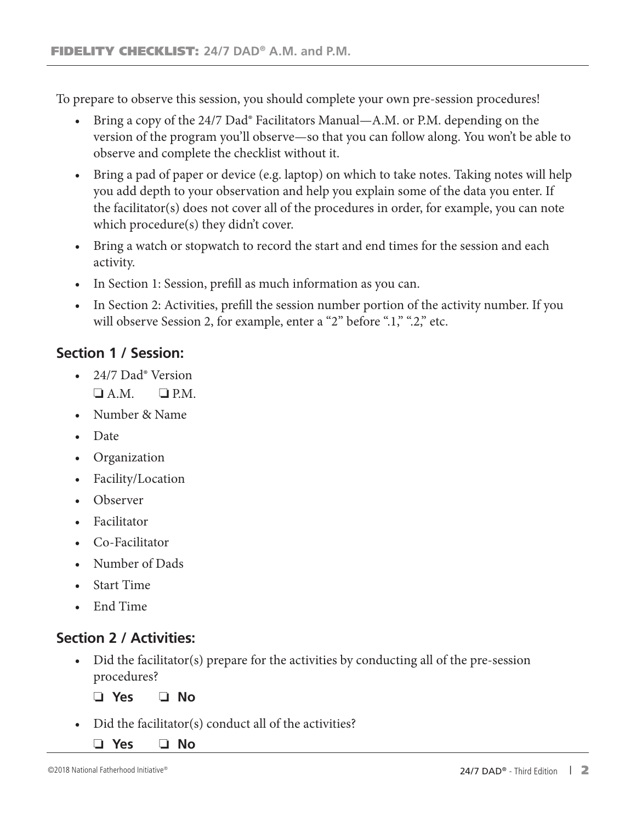To prepare to observe this session, you should complete your own pre-session procedures!

- Bring a copy of the 24/7 Dad<sup>®</sup> Facilitators Manual—A.M. or P.M. depending on the version of the program you'll observe—so that you can follow along. You won't be able to observe and complete the checklist without it.
- Bring a pad of paper or device (e.g. laptop) on which to take notes. Taking notes will help you add depth to your observation and help you explain some of the data you enter. If the facilitator(s) does not cover all of the procedures in order, for example, you can note which procedure(s) they didn't cover.
- Bring a watch or stopwatch to record the start and end times for the session and each activity.
- In Section 1: Session, prefill as much information as you can.
- In Section 2: Activities, prefill the session number portion of the activity number. If you will observe Session 2, for example, enter a "2" before ".1," ".2," etc.

## **Section 1 / Session:**

- 24/7 Dad<sup>®</sup> Version  $\Box$  A.M.  $\Box$  P.M.
- Number & Name
- Date
- Organization
- Facility/Location
- Observer
- Facilitator
- Co-Facilitator
- Number of Dads
- Start Time
- End Time

## **Section 2 / Activities:**

• Did the facilitator(s) prepare for the activities by conducting all of the pre-session procedures?

❏ **Yes** ❏ **No**

- Did the facilitator(s) conduct all of the activities?
	- ❏ **Yes** ❏ **No**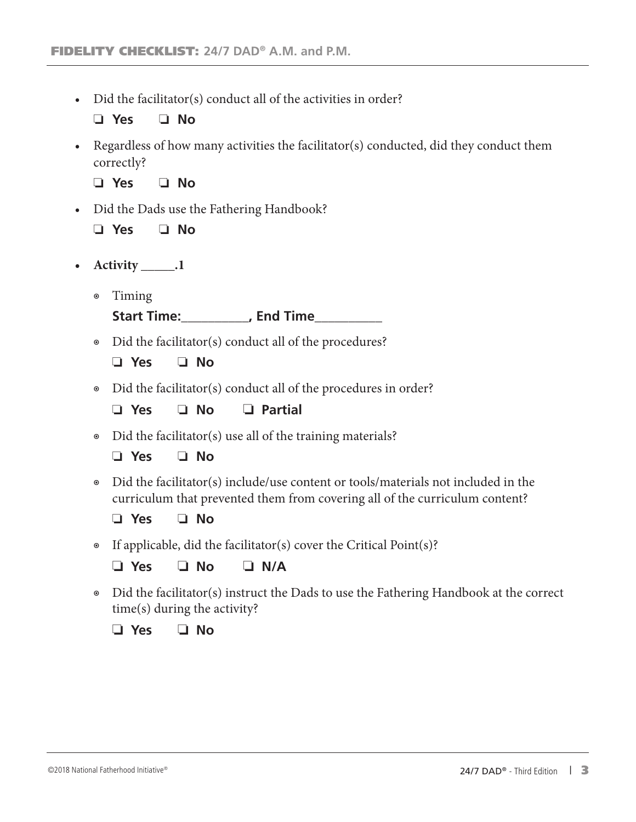• Did the facilitator(s) conduct all of the activities in order?

❏ **Yes** ❏ **No**

• Regardless of how many activities the facilitator(s) conducted, did they conduct them correctly?

❏ **Yes** ❏ **No**

- Did the Dads use the Fathering Handbook?
	- ❏ **Yes** ❏ **No**
- **• Activity \_\_\_\_\_.1**
	- ◉ Timing

**Start Time:\_\_\_\_\_\_\_\_\_\_, End Time\_\_\_\_\_\_\_\_\_\_**

◉ Did the facilitator(s) conduct all of the procedures?

❏ **Yes** ❏ **No**

◉ Did the facilitator(s) conduct all of the procedures in order?

❏ **Yes** ❏ **No** ❏ **Partial**

◉ Did the facilitator(s) use all of the training materials?

❏ **Yes** ❏ **No**

◉ Did the facilitator(s) include/use content or tools/materials not included in the curriculum that prevented them from covering all of the curriculum content?

❏ **Yes** ❏ **No**

◉ If applicable, did the facilitator(s) cover the Critical Point(s)?

❏ **Yes** ❏ **No** ❏ **N/A**

◉ Did the facilitator(s) instruct the Dads to use the Fathering Handbook at the correct time(s) during the activity?

❏ **Yes** ❏ **No**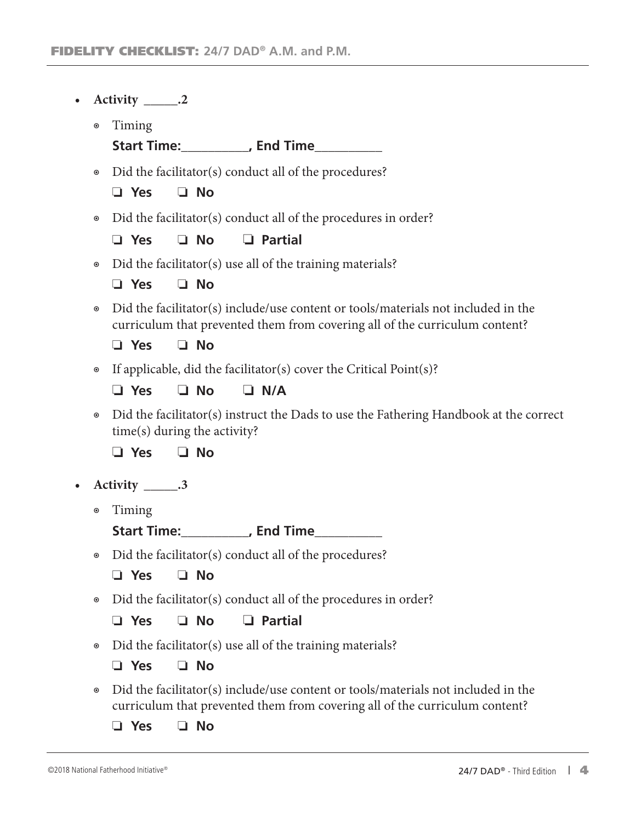| $\bullet$      |                      | Activity _______.2                                                                                                                                               |                                                                                                                       |                                                                        |  |
|----------------|----------------------|------------------------------------------------------------------------------------------------------------------------------------------------------------------|-----------------------------------------------------------------------------------------------------------------------|------------------------------------------------------------------------|--|
|                | $\boldsymbol{\odot}$ | Timing                                                                                                                                                           |                                                                                                                       |                                                                        |  |
|                |                      |                                                                                                                                                                  |                                                                                                                       | Start Time:____________, End Time____________                          |  |
|                | $\boldsymbol{\circ}$ | Did the facilitator(s) conduct all of the procedures?                                                                                                            |                                                                                                                       |                                                                        |  |
|                |                      | $\Box$ Yes                                                                                                                                                       | $\Box$ No                                                                                                             |                                                                        |  |
|                | $\boldsymbol{\circ}$ |                                                                                                                                                                  |                                                                                                                       | Did the facilitator(s) conduct all of the procedures in order?         |  |
|                |                      | $\Box$ Yes                                                                                                                                                       | $\Box$ No                                                                                                             | $\Box$ Partial                                                         |  |
|                | $\boldsymbol{\circ}$ |                                                                                                                                                                  |                                                                                                                       | Did the facilitator(s) use all of the training materials?              |  |
|                |                      | $\Box$ Yes                                                                                                                                                       | $\Box$ No                                                                                                             |                                                                        |  |
|                | $\boldsymbol{\circ}$ | Did the facilitator(s) include/use content or tools/materials not included in the<br>curriculum that prevented them from covering all of the curriculum content? |                                                                                                                       |                                                                        |  |
|                |                      | $\Box$ Yes                                                                                                                                                       | $\Box$ No                                                                                                             |                                                                        |  |
|                | $\boldsymbol{\circ}$ |                                                                                                                                                                  |                                                                                                                       | If applicable, did the facilitator(s) cover the Critical Point $(s)$ ? |  |
|                |                      | $\Box$ Yes                                                                                                                                                       | $\Box$ No                                                                                                             | $\Box$ N/A                                                             |  |
| $\circledcirc$ |                      |                                                                                                                                                                  | Did the facilitator(s) instruct the Dads to use the Fathering Handbook at the correct<br>time(s) during the activity? |                                                                        |  |
|                |                      | $\Box$ Yes                                                                                                                                                       | $\Box$ No                                                                                                             |                                                                        |  |
| $\bullet$      |                      | Activity ______.3                                                                                                                                                |                                                                                                                       |                                                                        |  |
|                | $\boldsymbol{\odot}$ | Timing                                                                                                                                                           |                                                                                                                       |                                                                        |  |
|                |                      |                                                                                                                                                                  |                                                                                                                       | Start Time:____________, End Time____________                          |  |
|                | $\boldsymbol{\circ}$ | Did the facilitator(s) conduct all of the procedures?                                                                                                            |                                                                                                                       |                                                                        |  |
|                |                      | $\Box$ Yes                                                                                                                                                       | $\Box$ No                                                                                                             |                                                                        |  |
|                | $\boldsymbol{\circ}$ |                                                                                                                                                                  |                                                                                                                       | Did the facilitator(s) conduct all of the procedures in order?         |  |
|                |                      | $\Box$ Yes                                                                                                                                                       | $\Box$ No                                                                                                             | <b>Partial</b><br>❏                                                    |  |
|                | $\boldsymbol{\odot}$ |                                                                                                                                                                  |                                                                                                                       | Did the facilitator(s) use all of the training materials?              |  |
|                |                      | $\Box$ Yes                                                                                                                                                       | $\Box$ No                                                                                                             |                                                                        |  |
|                | $\boldsymbol{\odot}$ | Did the facilitator(s) include/use content or tools/materials not included in the<br>curriculum that prevented them from covering all of the curriculum content? |                                                                                                                       |                                                                        |  |
|                |                      | $\Box$ Yes                                                                                                                                                       | $\Box$ No                                                                                                             |                                                                        |  |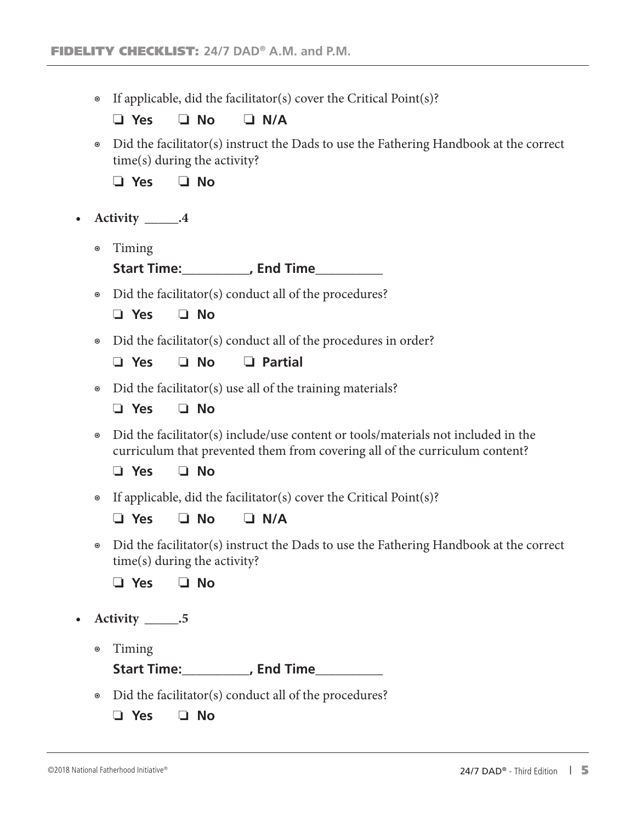◉ If applicable, did the facilitator(s) cover the Critical Point(s)?

❏ **Yes** ❏ **No** ❏ **N/A**

◉ Did the facilitator(s) instruct the Dads to use the Fathering Handbook at the correct time(s) during the activity?

❏ **Yes** ❏ **No**

- **• Activity \_\_\_\_\_.4**
	- ◉ Timing

**Start Time:\_\_\_\_\_\_\_\_\_\_, End Time\_\_\_\_\_\_\_\_\_\_**

◉ Did the facilitator(s) conduct all of the procedures?

❏ **Yes** ❏ **No**

◉ Did the facilitator(s) conduct all of the procedures in order?

❏ **Yes** ❏ **No** ❏ **Partial**

◉ Did the facilitator(s) use all of the training materials?

❏ **Yes** ❏ **No**

◉ Did the facilitator(s) include/use content or tools/materials not included in the curriculum that prevented them from covering all of the curriculum content?

❏ **Yes** ❏ **No**

- ◉ If applicable, did the facilitator(s) cover the Critical Point(s)?
	- ❏ **Yes** ❏ **No** ❏ **N/A**
- ◉ Did the facilitator(s) instruct the Dads to use the Fathering Handbook at the correct time(s) during the activity?

❏ **Yes** ❏ **No**

- **• Activity \_\_\_\_\_.5**
	- ◉ Timing

**Start Time:\_\_\_\_\_\_\_\_\_\_, End Time\_\_\_\_\_\_\_\_\_\_**

- ◉ Did the facilitator(s) conduct all of the procedures?
	- ❏ **Yes** ❏ **No**